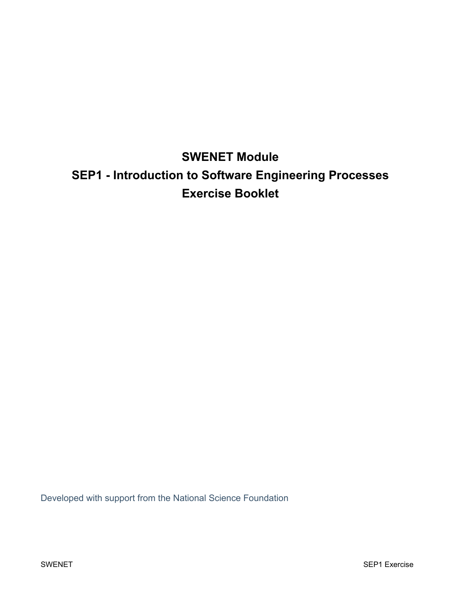# **SWENET Module SEP1 - Introduction to Software Engineering Processes Exercise Booklet**

Developed with support from the National Science Foundation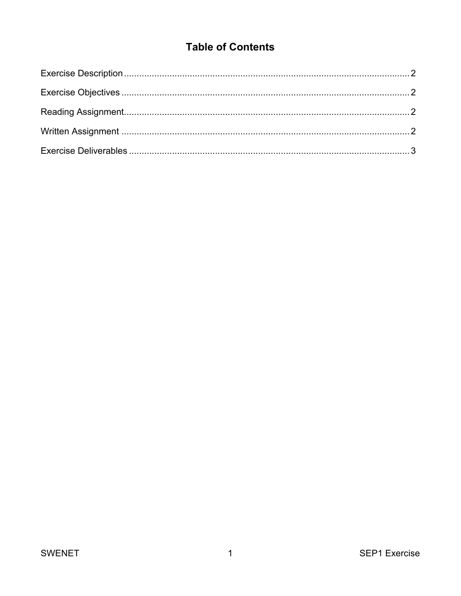## **Table of Contents**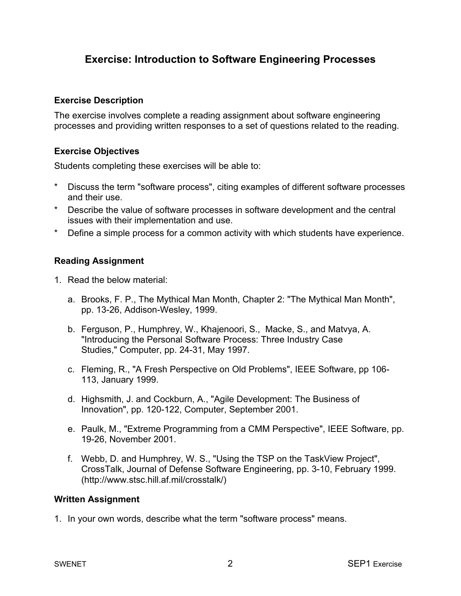### **Exercise: Introduction to Software Engineering Processes**

#### **Exercise Description**

The exercise involves complete a reading assignment about software engineering processes and providing written responses to a set of questions related to the reading.

#### **Exercise Objectives**

Students completing these exercises will be able to:

- Discuss the term "software process", citing examples of different software processes and their use.
- \* Describe the value of software processes in software development and the central issues with their implementation and use.
- \* Define a simple process for a common activity with which students have experience.

#### **Reading Assignment**

- 1. Read the below material:
	- a. Brooks, F. P., The Mythical Man Month, Chapter 2: "The Mythical Man Month", pp. 13-26, Addison-Wesley, 1999.
	- b. Ferguson, P., Humphrey, W., Khajenoori, S., Macke, S., and Matvya, A. "Introducing the Personal Software Process: Three Industry Case Studies," Computer, pp. 24-31, May 1997.
	- c. Fleming, R., "A Fresh Perspective on Old Problems", IEEE Software, pp 106- 113, January 1999.
	- d. Highsmith, J. and Cockburn, A., "Agile Development: The Business of Innovation", pp. 120-122, Computer, September 2001.
	- e. Paulk, M., "Extreme Programming from a CMM Perspective", IEEE Software, pp. 19-26, November 2001.
	- f. Webb, D. and Humphrey, W. S., "Using the TSP on the TaskView Project", CrossTalk, Journal of Defense Software Engineering, pp. 3-10, February 1999. (http://www.stsc.hill.af.mil/crosstalk/)

#### **Written Assignment**

1. In your own words, describe what the term "software process" means.